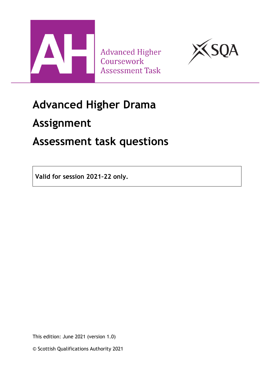

**Advanced Higher** Coursework **Assessment Task** 



## **Advanced Higher Drama**

## **Assignment**

## **Assessment task questions**

**Valid for session 2021–22 only.**

This edition: June 2021 (version 1.0)

© Scottish Qualifications Authority 2021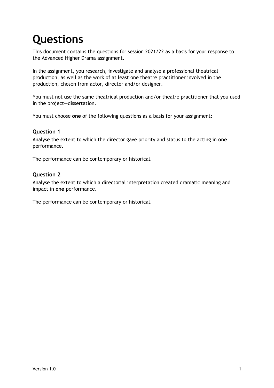# **Questions**

This document contains the questions for session 2021/22 as a basis for your response to the Advanced Higher Drama assignment.

In the assignment, you research, investigate and analyse a professional theatrical production, as well as the work of at least one theatre practitioner involved in the production, chosen from actor, director and/or designer.

You must not use the same theatrical production and/or theatre practitioner that you used in the project—dissertation.

You must choose **one** of the following questions as a basis for your assignment:

#### **Question 1**

Analyse the extent to which the director gave priority and status to the acting in **one** performance.

The performance can be contemporary or historical.

#### **Question 2**

Analyse the extent to which a directorial interpretation created dramatic meaning and impact in **one** performance.

The performance can be contemporary or historical.